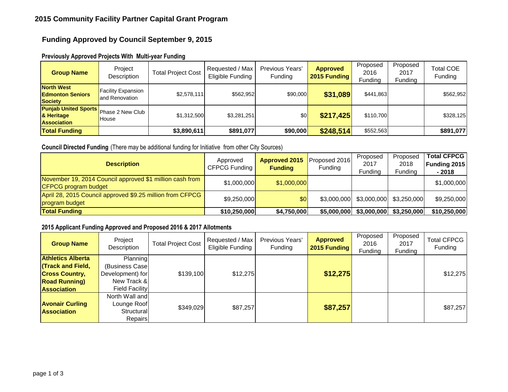## **Funding Approved by Council September 9, 2015**

| <b>Group Name</b>                                                                      | Project<br>Description                      | <b>Total Project Cost</b> | Requested / Max<br>Eligible Funding | Previous Years'<br>Funding | <b>Approved</b><br>2015 Funding | Proposed<br>2016<br>Funding | Proposed<br>2017<br>Funding | Total COE<br>Funding |
|----------------------------------------------------------------------------------------|---------------------------------------------|---------------------------|-------------------------------------|----------------------------|---------------------------------|-----------------------------|-----------------------------|----------------------|
| <b>North West</b><br><b>Edmonton Seniors</b><br><b>Society</b>                         | <b>Facility Expansion</b><br>and Renovation | \$2,578,111               | \$562,952                           | \$90,000                   | \$31,089                        | \$441,863                   |                             | \$562,952            |
| Punjab United Sports Phase 2 New Club <sup>I</sup><br>& Heritage<br><b>Association</b> | <b>House</b>                                | \$1,312,500               | \$3,281,251                         | \$0 <sub>l</sub>           | \$217,425                       | \$110,700                   |                             | \$328,125            |
| <b>Total Funding</b>                                                                   |                                             | \$3,890,611               | \$891,077                           | \$90,000                   | \$248,514                       | \$552,563                   |                             | \$891,077            |

## **Previously Approved Projects With Multi-year Funding**

## **Council Directed Funding** (There may be additional funding for Initiative from other City Sources)

| <b>Description</b>                                                               | Approved<br>CFPCG Funding | <b>Approved 2015</b><br><b>Funding</b> | Proposed 2016<br>Funding | Proposed<br>2017<br>Funding            | Proposed<br>2018<br>Funding | <b>Total CFPCG</b><br>Funding 2015<br>- 2018 |
|----------------------------------------------------------------------------------|---------------------------|----------------------------------------|--------------------------|----------------------------------------|-----------------------------|----------------------------------------------|
| November 19, 2014 Council approved \$1 million cash from<br>CFPCG program budget | \$1,000,000               | \$1,000,000                            |                          |                                        |                             | \$1,000,000                                  |
| April 28, 2015 Council approved \$9.25 million from CFPCG<br>program budget      | \$9,250,000               | \$0                                    |                          | $$3,000,000$ $$3,000,000$ $$3,250,000$ |                             | \$9,250,000                                  |
| <b>Total Funding</b>                                                             | \$10,250,000              | \$4,750,000                            | \$5,000,000              |                                        | $$3,000,000$ $$3,250,000$   | \$10,250,000                                 |

#### **2015 Applicant Funding Approved and Proposed 2016 & 2017 Allotments**

| <b>Group Name</b>        | Project<br>Description | <b>Total Project Cost</b> | Requested / Max<br>Eligible Funding | Previous Years'<br>Funding | <b>Approved</b><br>2015 Funding | Proposed<br>2016<br>Funding | Proposed<br>2017<br>Funding | <b>Total CFPCG</b><br>Funding |
|--------------------------|------------------------|---------------------------|-------------------------------------|----------------------------|---------------------------------|-----------------------------|-----------------------------|-------------------------------|
| <b>Athletics Alberta</b> | Planning               |                           |                                     |                            |                                 |                             |                             |                               |
| <b>Track and Field,</b>  | (Business Case         |                           |                                     |                            |                                 |                             |                             |                               |
| <b>Cross Country,</b>    | Development) for       | \$139,100                 | \$12,275                            |                            | \$12,275                        |                             |                             | \$12,275                      |
| <b>Road Running</b> )    | New Track &            |                           |                                     |                            |                                 |                             |                             |                               |
| <b>Association</b>       | <b>Field Facility</b>  |                           |                                     |                            |                                 |                             |                             |                               |
|                          | North Wall and         |                           |                                     |                            |                                 |                             |                             |                               |
| <b>Avonair Curling</b>   | Lounge Roof            | \$349,029                 | \$87,257                            |                            | \$87,257                        |                             |                             | \$87,257                      |
| <b>Association</b>       | Structural             |                           |                                     |                            |                                 |                             |                             |                               |
|                          | Repairs                |                           |                                     |                            |                                 |                             |                             |                               |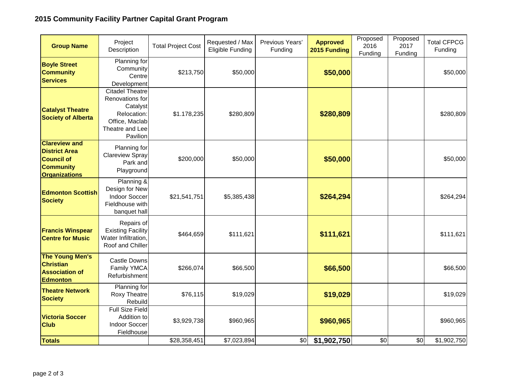# **2015 Community Facility Partner Capital Grant Program**

| <b>Group Name</b>                                                                                             | Project<br>Description                                                                                                | <b>Total Project Cost</b> | Requested / Max<br>Eligible Funding | Previous Years'<br>Funding | <b>Approved</b><br>2015 Funding | Proposed<br>2016<br>Funding | Proposed<br>2017<br>Funding | <b>Total CFPCG</b><br>Funding |
|---------------------------------------------------------------------------------------------------------------|-----------------------------------------------------------------------------------------------------------------------|---------------------------|-------------------------------------|----------------------------|---------------------------------|-----------------------------|-----------------------------|-------------------------------|
| <b>Boyle Street</b><br><b>Community</b><br><b>Services</b>                                                    | Planning for<br>Community<br>Centre<br>Development                                                                    | \$213,750                 | \$50,000                            |                            | \$50,000                        |                             |                             | \$50,000                      |
| <b>Catalyst Theatre</b><br><b>Society of Alberta</b>                                                          | <b>Citadel Theatre</b><br>Renovations for<br>Catalyst<br>Relocation:<br>Office, Maclab<br>Theatre and Lee<br>Pavilion | \$1.178,235               | \$280,809                           |                            | \$280,809                       |                             |                             | \$280,809                     |
| <b>Clareview and</b><br><b>District Area</b><br><b>Council of</b><br><b>Community</b><br><b>Organizations</b> | Planning for<br><b>Clareview Spray</b><br>Park and<br>Playground                                                      | \$200,000                 | \$50,000                            |                            | \$50,000                        |                             |                             | \$50,000                      |
| <b>Edmonton Scottish</b><br><b>Society</b>                                                                    | Planning &<br>Design for New<br><b>Indoor Soccer</b><br>Fieldhouse with<br>banquet hall                               | \$21,541,751              | \$5,385,438                         |                            | \$264,294                       |                             |                             | \$264,294                     |
| <b>Francis Winspear</b><br><b>Centre for Music</b>                                                            | Repairs of<br><b>Existing Facility</b><br>Water Infiltration,<br>Roof and Chiller                                     | \$464,659                 | \$111,621                           |                            | \$111,621                       |                             |                             | \$111,621                     |
| <b>The Young Men's</b><br><b>Christian</b><br><b>Association of</b><br><b>Edmonton</b>                        | <b>Castle Downs</b><br>Family YMCA<br>Refurbishment                                                                   | \$266,074                 | \$66,500                            |                            | \$66,500                        |                             |                             | \$66,500                      |
| <b>Theatre Network</b><br><b>Society</b>                                                                      | Planning for<br><b>Roxy Theatre</b><br>Rebuild                                                                        | \$76,115                  | \$19,029                            |                            | \$19,029                        |                             |                             | \$19,029                      |
| <b>Victoria Soccer</b><br><b>Club</b>                                                                         | <b>Full Size Field</b><br>Addition to<br>Indoor Soccer<br>Fieldhouse                                                  | \$3,929,738               | \$960,965                           |                            | \$960,965                       |                             |                             | \$960,965                     |
| <b>Totals</b>                                                                                                 |                                                                                                                       | \$28,358,451              | \$7,023,894                         | \$0                        | \$1,902,750                     | \$0                         | \$0                         | \$1,902,750                   |